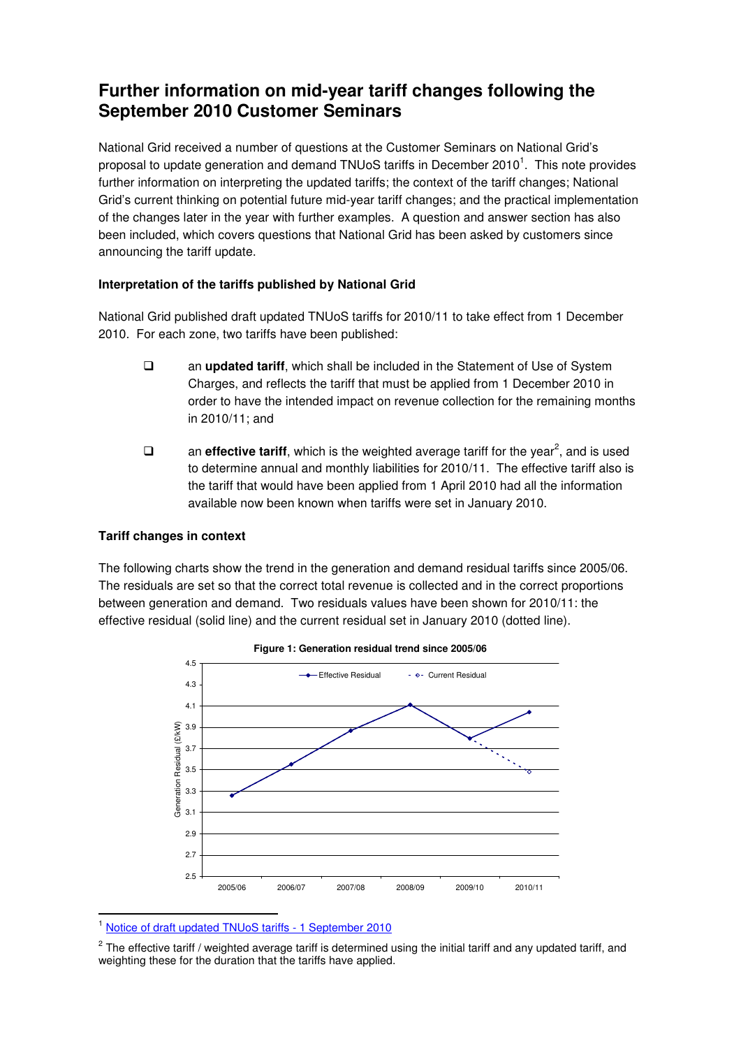## **Further information on mid-year tariff changes following the September 2010 Customer Seminars**

National Grid received a number of questions at the Customer Seminars on National Grid's proposal to update generation and demand TNUoS tariffs in December 2010<sup>1</sup>. This note provides further information on interpreting the updated tariffs; the context of the tariff changes; National Grid's current thinking on potential future mid-year tariff changes; and the practical implementation of the changes later in the year with further examples. A question and answer section has also been included, which covers questions that National Grid has been asked by customers since announcing the tariff update.

## **Interpretation of the tariffs published by National Grid**

National Grid published draft updated TNUoS tariffs for 2010/11 to take effect from 1 December 2010. For each zone, two tariffs have been published:

- an **updated tariff**, which shall be included in the Statement of Use of System Charges, and reflects the tariff that must be applied from 1 December 2010 in order to have the intended impact on revenue collection for the remaining months in 2010/11; and
- $\Box$  an **effective tariff**, which is the weighted average tariff for the year<sup>2</sup>, and is used to determine annual and monthly liabilities for 2010/11. The effective tariff also is the tariff that would have been applied from 1 April 2010 had all the information available now been known when tariffs were set in January 2010.

#### **Tariff changes in context**

l.

The following charts show the trend in the generation and demand residual tariffs since 2005/06. The residuals are set so that the correct total revenue is collected and in the correct proportions between generation and demand. Two residuals values have been shown for 2010/11: the effective residual (solid line) and the current residual set in January 2010 (dotted line).





<sup>1</sup> Notice of draft updated TNUoS tariffs - 1 September 2010

 $2$  The effective tariff / weighted average tariff is determined using the initial tariff and any updated tariff, and weighting these for the duration that the tariffs have applied.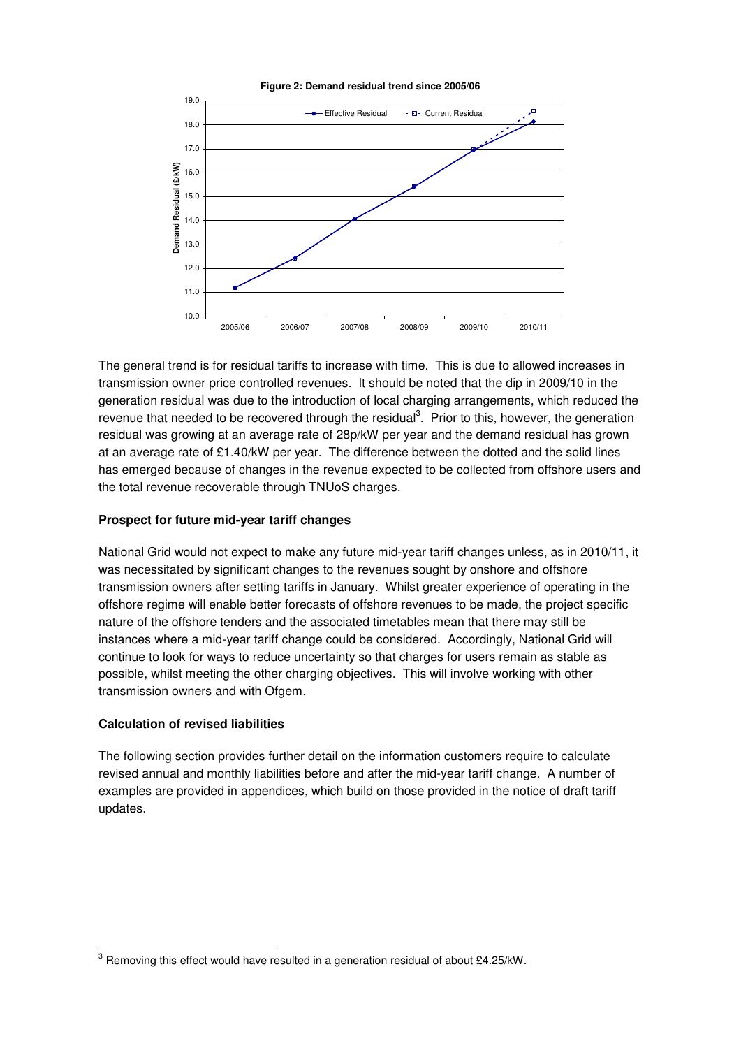

The general trend is for residual tariffs to increase with time. This is due to allowed increases in transmission owner price controlled revenues. It should be noted that the dip in 2009/10 in the generation residual was due to the introduction of local charging arrangements, which reduced the revenue that needed to be recovered through the residual<sup>3</sup>. Prior to this, however, the generation residual was growing at an average rate of 28p/kW per year and the demand residual has grown at an average rate of £1.40/kW per year. The difference between the dotted and the solid lines has emerged because of changes in the revenue expected to be collected from offshore users and the total revenue recoverable through TNUoS charges.

### **Prospect for future mid-year tariff changes**

National Grid would not expect to make any future mid-year tariff changes unless, as in 2010/11, it was necessitated by significant changes to the revenues sought by onshore and offshore transmission owners after setting tariffs in January. Whilst greater experience of operating in the offshore regime will enable better forecasts of offshore revenues to be made, the project specific nature of the offshore tenders and the associated timetables mean that there may still be instances where a mid-year tariff change could be considered. Accordingly, National Grid will continue to look for ways to reduce uncertainty so that charges for users remain as stable as possible, whilst meeting the other charging objectives. This will involve working with other transmission owners and with Ofgem.

#### **Calculation of revised liabilities**

 $\overline{a}$ 

The following section provides further detail on the information customers require to calculate revised annual and monthly liabilities before and after the mid-year tariff change. A number of examples are provided in appendices, which build on those provided in the notice of draft tariff updates.

 $^3$  Removing this effect would have resulted in a generation residual of about £4.25/kW.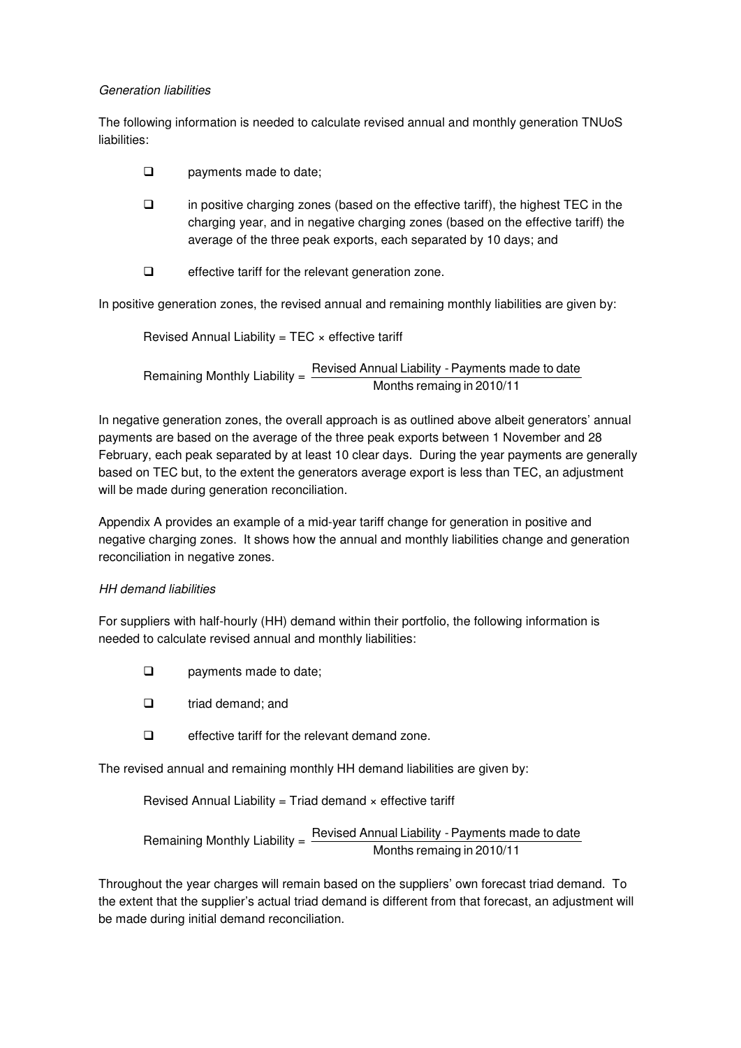### Generation liabilities

The following information is needed to calculate revised annual and monthly generation TNUoS liabilities:

- $\Box$  payments made to date:
- $\Box$  in positive charging zones (based on the effective tariff), the highest TEC in the charging year, and in negative charging zones (based on the effective tariff) the average of the three peak exports, each separated by 10 days; and
- $\Box$  effective tariff for the relevant generation zone.

In positive generation zones, the revised annual and remaining monthly liabilities are given by:

Revised Annual Liability =  $TEC \times$  effective tariff

 Remaining Monthly Liability = Months remaing in 2010/11 Revised Annual Liability - Payments made to date

In negative generation zones, the overall approach is as outlined above albeit generators' annual payments are based on the average of the three peak exports between 1 November and 28 February, each peak separated by at least 10 clear days. During the year payments are generally based on TEC but, to the extent the generators average export is less than TEC, an adjustment will be made during generation reconciliation.

Appendix A provides an example of a mid-year tariff change for generation in positive and negative charging zones. It shows how the annual and monthly liabilities change and generation reconciliation in negative zones.

## HH demand liabilities

For suppliers with half-hourly (HH) demand within their portfolio, the following information is needed to calculate revised annual and monthly liabilities:

- **Q** payments made to date;
- $\Box$  triad demand: and
- $\Box$  effective tariff for the relevant demand zone.

The revised annual and remaining monthly HH demand liabilities are given by:

Revised Annual Liability = Triad demand  $\times$  effective tariff

 Remaining Monthly Liability = Months remaing in 2010/11 Revised Annual Liability - Payments made to date

Throughout the year charges will remain based on the suppliers' own forecast triad demand. To the extent that the supplier's actual triad demand is different from that forecast, an adjustment will be made during initial demand reconciliation.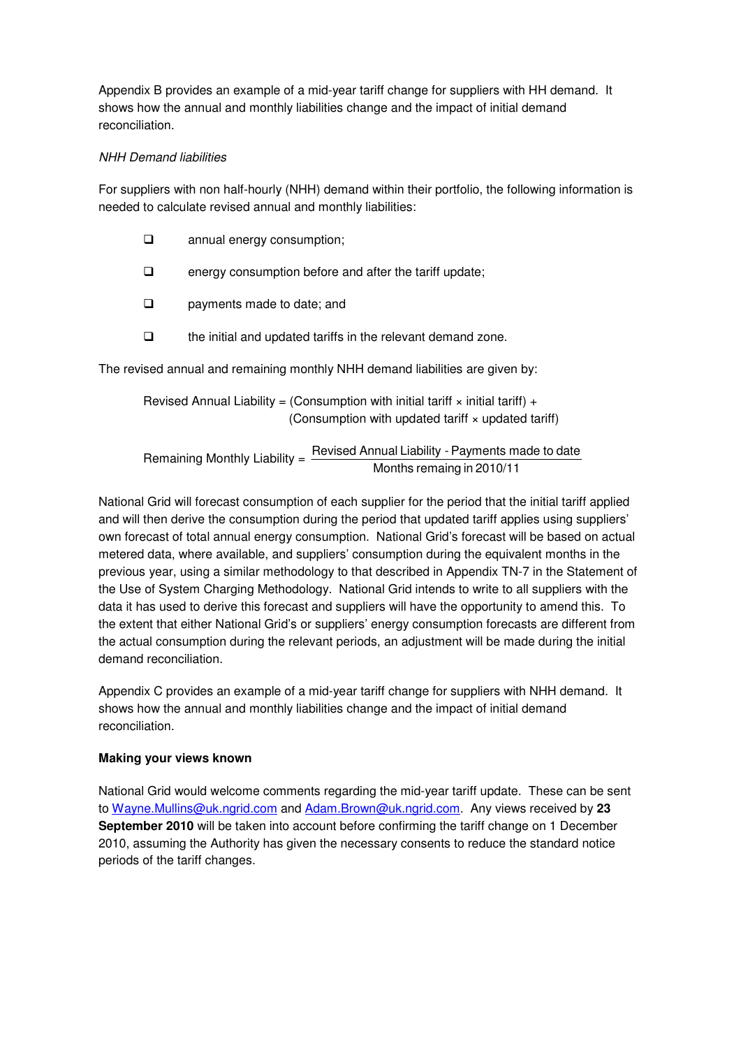Appendix B provides an example of a mid-year tariff change for suppliers with HH demand. It shows how the annual and monthly liabilities change and the impact of initial demand reconciliation.

## NHH Demand liabilities

For suppliers with non half-hourly (NHH) demand within their portfolio, the following information is needed to calculate revised annual and monthly liabilities:

| annual energy consumption;<br>$\Box$ |
|--------------------------------------|
|--------------------------------------|

- $\Box$  energy consumption before and after the tariff update;
- **Q** payments made to date; and
- $\Box$  the initial and updated tariffs in the relevant demand zone.

The revised annual and remaining monthly NHH demand liabilities are given by:

Revised Annual Liability = (Consumption with initial tariff  $\times$  initial tariff) + (Consumption with updated tariff  $\times$  updated tariff)

Remaining Monthly Liability =  $\frac{\text{Revised Annual Liability - Payments made to date}}{\text{Im}(1 + \frac{1}{2})}$ Months remaing in 2010/11

National Grid will forecast consumption of each supplier for the period that the initial tariff applied and will then derive the consumption during the period that updated tariff applies using suppliers' own forecast of total annual energy consumption. National Grid's forecast will be based on actual metered data, where available, and suppliers' consumption during the equivalent months in the previous year, using a similar methodology to that described in Appendix TN-7 in the Statement of the Use of System Charging Methodology. National Grid intends to write to all suppliers with the data it has used to derive this forecast and suppliers will have the opportunity to amend this. To the extent that either National Grid's or suppliers' energy consumption forecasts are different from the actual consumption during the relevant periods, an adjustment will be made during the initial demand reconciliation.

Appendix C provides an example of a mid-year tariff change for suppliers with NHH demand. It shows how the annual and monthly liabilities change and the impact of initial demand reconciliation.

## **Making your views known**

National Grid would welcome comments regarding the mid-year tariff update. These can be sent to Wayne.Mullins@uk.ngrid.com and Adam.Brown@uk.ngrid.com. Any views received by **23 September 2010** will be taken into account before confirming the tariff change on 1 December 2010, assuming the Authority has given the necessary consents to reduce the standard notice periods of the tariff changes.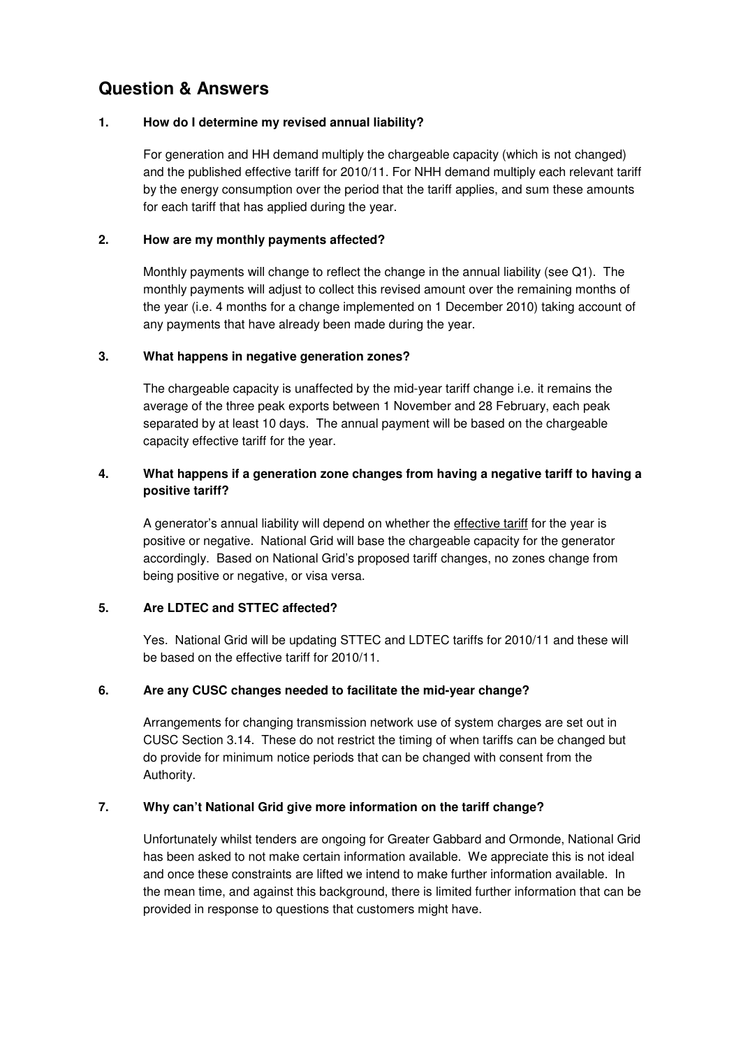## **Question & Answers**

### **1. How do I determine my revised annual liability?**

For generation and HH demand multiply the chargeable capacity (which is not changed) and the published effective tariff for 2010/11. For NHH demand multiply each relevant tariff by the energy consumption over the period that the tariff applies, and sum these amounts for each tariff that has applied during the year.

## **2. How are my monthly payments affected?**

Monthly payments will change to reflect the change in the annual liability (see Q1). The monthly payments will adjust to collect this revised amount over the remaining months of the year (i.e. 4 months for a change implemented on 1 December 2010) taking account of any payments that have already been made during the year.

### **3. What happens in negative generation zones?**

The chargeable capacity is unaffected by the mid-year tariff change i.e. it remains the average of the three peak exports between 1 November and 28 February, each peak separated by at least 10 days. The annual payment will be based on the chargeable capacity effective tariff for the year.

## **4. What happens if a generation zone changes from having a negative tariff to having a positive tariff?**

A generator's annual liability will depend on whether the effective tariff for the year is positive or negative. National Grid will base the chargeable capacity for the generator accordingly. Based on National Grid's proposed tariff changes, no zones change from being positive or negative, or visa versa.

## **5. Are LDTEC and STTEC affected?**

Yes. National Grid will be updating STTEC and LDTEC tariffs for 2010/11 and these will be based on the effective tariff for 2010/11.

## **6. Are any CUSC changes needed to facilitate the mid-year change?**

Arrangements for changing transmission network use of system charges are set out in CUSC Section 3.14. These do not restrict the timing of when tariffs can be changed but do provide for minimum notice periods that can be changed with consent from the Authority.

## **7. Why can't National Grid give more information on the tariff change?**

Unfortunately whilst tenders are ongoing for Greater Gabbard and Ormonde, National Grid has been asked to not make certain information available. We appreciate this is not ideal and once these constraints are lifted we intend to make further information available. In the mean time, and against this background, there is limited further information that can be provided in response to questions that customers might have.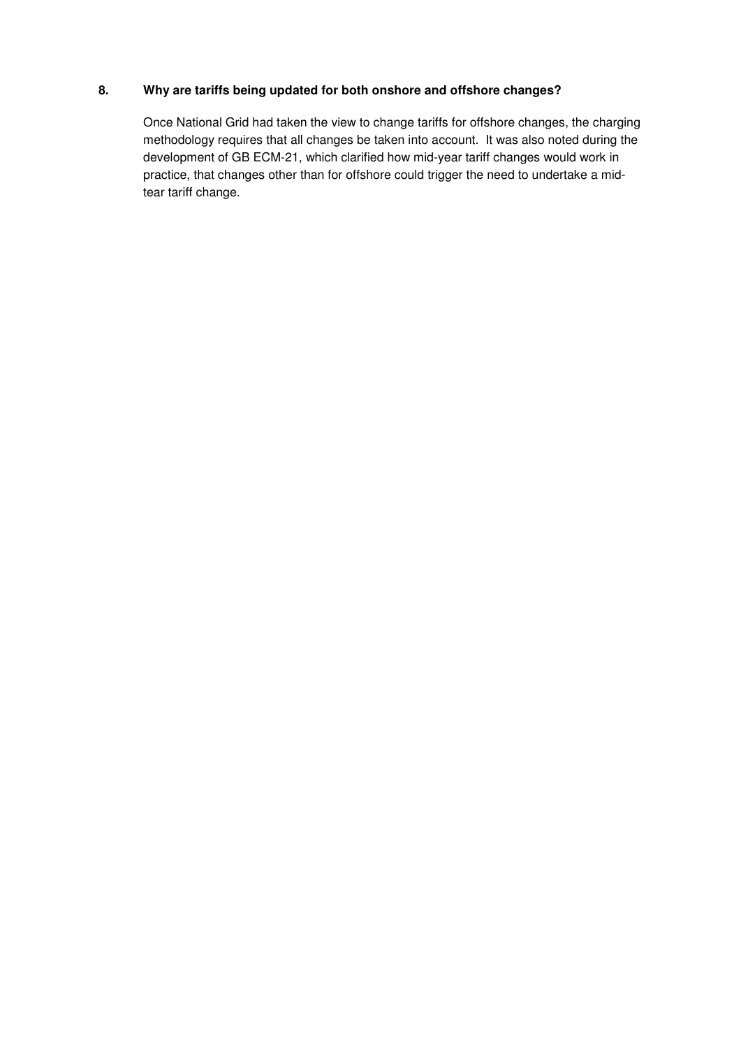## **8. Why are tariffs being updated for both onshore and offshore changes?**

Once National Grid had taken the view to change tariffs for offshore changes, the charging methodology requires that all changes be taken into account. It was also noted during the development of GB ECM-21, which clarified how mid-year tariff changes would work in practice, that changes other than for offshore could trigger the need to undertake a midtear tariff change.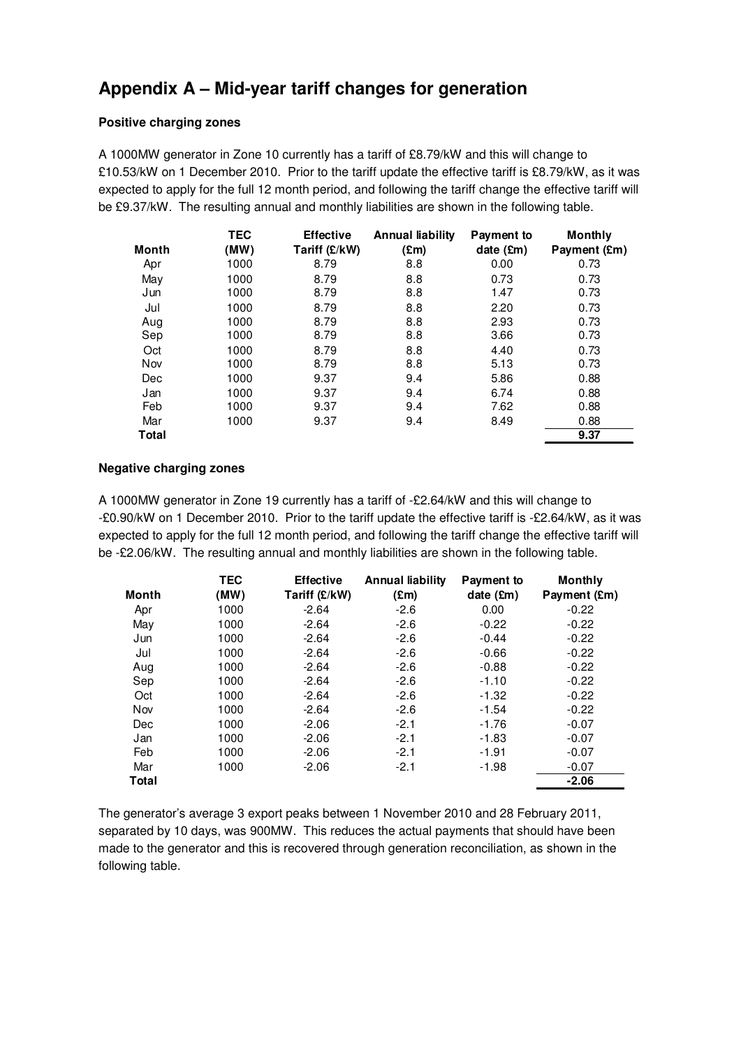## **Appendix A – Mid-year tariff changes for generation**

#### **Positive charging zones**

A 1000MW generator in Zone 10 currently has a tariff of £8.79/kW and this will change to £10.53/kW on 1 December 2010. Prior to the tariff update the effective tariff is £8.79/kW, as it was expected to apply for the full 12 month period, and following the tariff change the effective tariff will be £9.37/kW. The resulting annual and monthly liabilities are shown in the following table.

|       | <b>TEC</b> | <b>Effective</b> | <b>Annual liability</b> | Payment to | <b>Monthly</b> |
|-------|------------|------------------|-------------------------|------------|----------------|
| Month | (MW)       | Tariff (£/kW)    | (£m)                    | date (£m)  | Payment (£m)   |
| Apr   | 1000       | 8.79             | 8.8                     | 0.00       | 0.73           |
| May   | 1000       | 8.79             | 8.8                     | 0.73       | 0.73           |
| Jun   | 1000       | 8.79             | 8.8                     | 1.47       | 0.73           |
| Jul   | 1000       | 8.79             | 8.8                     | 2.20       | 0.73           |
| Aug   | 1000       | 8.79             | 8.8                     | 2.93       | 0.73           |
| Sep   | 1000       | 8.79             | 8.8                     | 3.66       | 0.73           |
| Oct   | 1000       | 8.79             | 8.8                     | 4.40       | 0.73           |
| Nov   | 1000       | 8.79             | 8.8                     | 5.13       | 0.73           |
| Dec   | 1000       | 9.37             | 9.4                     | 5.86       | 0.88           |
| Jan   | 1000       | 9.37             | 9.4                     | 6.74       | 0.88           |
| Feb   | 1000       | 9.37             | 9.4                     | 7.62       | 0.88           |
| Mar   | 1000       | 9.37             | 9.4                     | 8.49       | 0.88           |
| Total |            |                  |                         |            | 9.37           |

#### **Negative charging zones**

A 1000MW generator in Zone 19 currently has a tariff of -£2.64/kW and this will change to -£0.90/kW on 1 December 2010. Prior to the tariff update the effective tariff is -£2.64/kW, as it was expected to apply for the full 12 month period, and following the tariff change the effective tariff will be -£2.06/kW. The resulting annual and monthly liabilities are shown in the following table.

| <b>Month</b> | <b>TEC</b><br>(MW) | <b>Effective</b><br>Tariff (£/kW) | Annual liability<br>$(\mathbf{Em})$ | Payment to<br>date $(\mathbf{Em})$ | Monthly<br>Payment (£m) |
|--------------|--------------------|-----------------------------------|-------------------------------------|------------------------------------|-------------------------|
| Apr          | 1000               | $-2.64$                           | $-2.6$                              | 0.00                               | $-0.22$                 |
| May          | 1000               | $-2.64$                           | $-2.6$                              | $-0.22$                            | $-0.22$                 |
| Jun          | 1000               | $-2.64$                           | $-2.6$                              | $-0.44$                            | $-0.22$                 |
| Jul          | 1000               | $-2.64$                           | $-2.6$                              | $-0.66$                            | $-0.22$                 |
| Aug          | 1000               | $-2.64$                           | $-2.6$                              | $-0.88$                            | $-0.22$                 |
| Sep          | 1000               | $-2.64$                           | $-2.6$                              | $-1.10$                            | $-0.22$                 |
| Oct          | 1000               | $-2.64$                           | $-2.6$                              | $-1.32$                            | $-0.22$                 |
| Nov          | 1000               | $-2.64$                           | $-2.6$                              | $-1.54$                            | $-0.22$                 |
| <b>Dec</b>   | 1000               | $-2.06$                           | $-2.1$                              | $-1.76$                            | $-0.07$                 |
| Jan          | 1000               | $-2.06$                           | $-2.1$                              | $-1.83$                            | $-0.07$                 |
| Feb          | 1000               | $-2.06$                           | $-2.1$                              | $-1.91$                            | $-0.07$                 |
| Mar          | 1000               | $-2.06$                           | $-2.1$                              | $-1.98$                            | $-0.07$                 |
| Total        |                    |                                   |                                     |                                    | $-2.06$                 |

The generator's average 3 export peaks between 1 November 2010 and 28 February 2011, separated by 10 days, was 900MW. This reduces the actual payments that should have been made to the generator and this is recovered through generation reconciliation, as shown in the following table.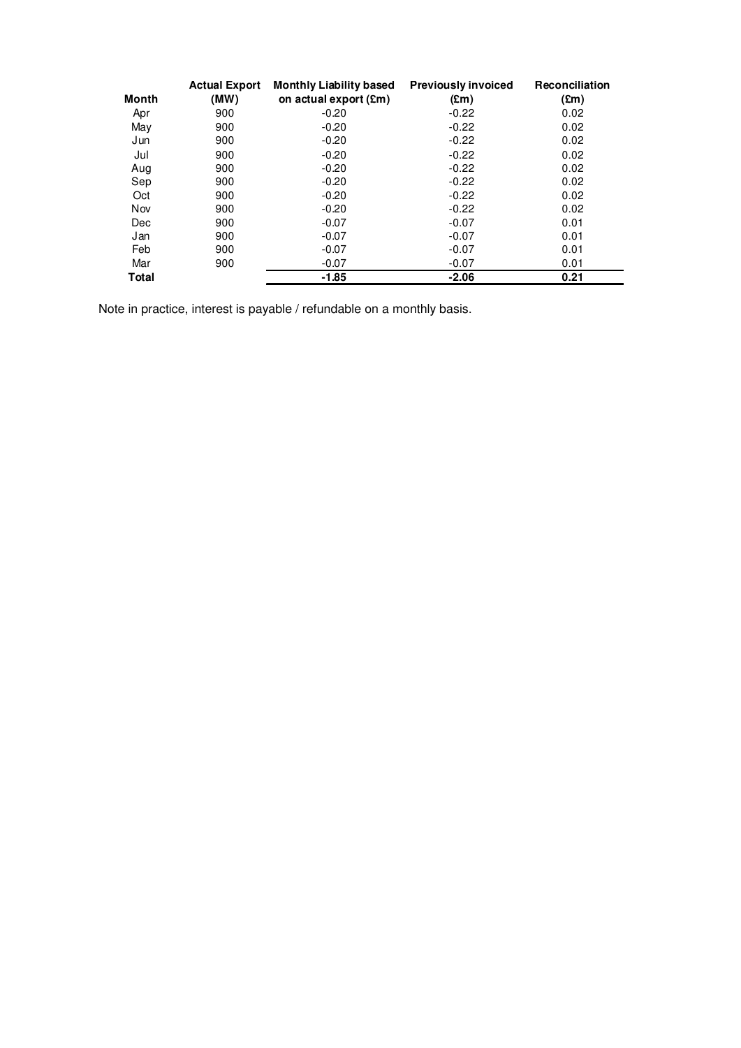|       | <b>Actual Export</b> | <b>Monthly Liability based</b> | <b>Previously invoiced</b> | Reconciliation |
|-------|----------------------|--------------------------------|----------------------------|----------------|
| Month | (MW)                 | on actual export (£m)          | $(\text{Em})$              | $(\text{Em})$  |
| Apr   | 900                  | $-0.20$                        | $-0.22$                    | 0.02           |
| May   | 900                  | $-0.20$                        | $-0.22$                    | 0.02           |
| Jun   | 900                  | $-0.20$                        | $-0.22$                    | 0.02           |
| Jul   | 900                  | $-0.20$                        | $-0.22$                    | 0.02           |
| Aug   | 900                  | $-0.20$                        | $-0.22$                    | 0.02           |
| Sep   | 900                  | $-0.20$                        | $-0.22$                    | 0.02           |
| Oct   | 900                  | $-0.20$                        | $-0.22$                    | 0.02           |
| Nov   | 900                  | $-0.20$                        | $-0.22$                    | 0.02           |
| Dec   | 900                  | $-0.07$                        | $-0.07$                    | 0.01           |
| Jan   | 900                  | $-0.07$                        | $-0.07$                    | 0.01           |
| Feb   | 900                  | $-0.07$                        | $-0.07$                    | 0.01           |
| Mar   | 900                  | $-0.07$                        | $-0.07$                    | 0.01           |
| Total |                      | $-1.85$                        | $-2.06$                    | 0.21           |

Note in practice, interest is payable / refundable on a monthly basis.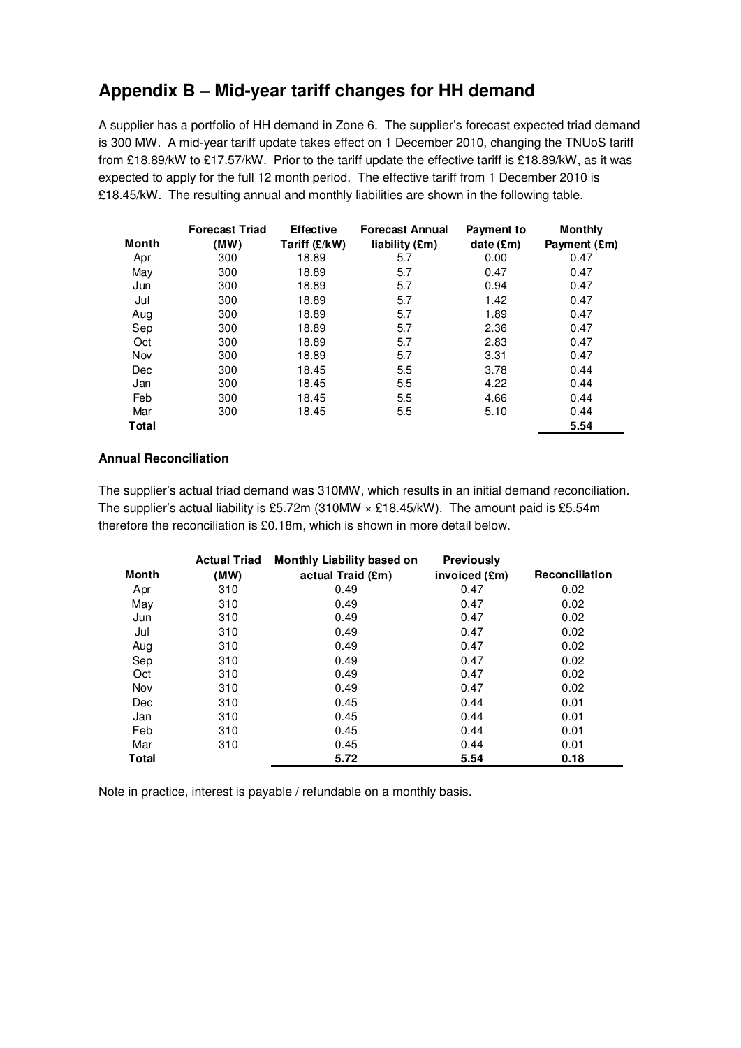# **Appendix B – Mid-year tariff changes for HH demand**

A supplier has a portfolio of HH demand in Zone 6. The supplier's forecast expected triad demand is 300 MW. A mid-year tariff update takes effect on 1 December 2010, changing the TNUoS tariff from £18.89/kW to £17.57/kW. Prior to the tariff update the effective tariff is £18.89/kW, as it was expected to apply for the full 12 month period. The effective tariff from 1 December 2010 is £18.45/kW. The resulting annual and monthly liabilities are shown in the following table.

| <b>Month</b> | <b>Forecast Triad</b><br>(MW) | <b>Effective</b><br>Tariff (£/kW) | <b>Forecast Annual</b><br>liability (£m) | <b>Payment to</b><br>date $(\mathbf{Em})$ | <b>Monthly</b><br>Payment (£m) |
|--------------|-------------------------------|-----------------------------------|------------------------------------------|-------------------------------------------|--------------------------------|
| Apr          | 300                           | 18.89                             | 5.7                                      | 0.00                                      | 0.47                           |
| May          | 300                           | 18.89                             | 5.7                                      | 0.47                                      | 0.47                           |
| Jun          | 300                           | 18.89                             | 5.7                                      | 0.94                                      | 0.47                           |
| Jul          | 300                           | 18.89                             | 5.7                                      | 1.42                                      | 0.47                           |
| Aug          | 300                           | 18.89                             | 5.7                                      | 1.89                                      | 0.47                           |
| Sep          | 300                           | 18.89                             | 5.7                                      | 2.36                                      | 0.47                           |
| Oct          | 300                           | 18.89                             | 5.7                                      | 2.83                                      | 0.47                           |
| Nov          | 300                           | 18.89                             | 5.7                                      | 3.31                                      | 0.47                           |
| Dec          | 300                           | 18.45                             | 5.5                                      | 3.78                                      | 0.44                           |
| Jan          | 300                           | 18.45                             | 5.5                                      | 4.22                                      | 0.44                           |
| Feb          | 300                           | 18.45                             | 5.5                                      | 4.66                                      | 0.44                           |
| Mar          | 300                           | 18.45                             | 5.5                                      | 5.10                                      | 0.44                           |
| <b>Total</b> |                               |                                   |                                          |                                           | 5.54                           |

#### **Annual Reconciliation**

The supplier's actual triad demand was 310MW, which results in an initial demand reconciliation. The supplier's actual liability is £5.72m (310MW × £18.45/kW). The amount paid is £5.54m therefore the reconciliation is £0.18m, which is shown in more detail below.

|              | <b>Actual Triad</b> | <b>Monthly Liability based on</b> | <b>Previously</b> |                       |
|--------------|---------------------|-----------------------------------|-------------------|-----------------------|
| Month        | (MW)                | actual Traid (£m)                 | invoiced (£m)     | <b>Reconciliation</b> |
| Apr          | 310                 | 0.49                              | 0.47              | 0.02                  |
| May          | 310                 | 0.49                              | 0.47              | 0.02                  |
| Jun          | 310                 | 0.49                              | 0.47              | 0.02                  |
| Jul          | 310                 | 0.49                              | 0.47              | 0.02                  |
| Aug          | 310                 | 0.49                              | 0.47              | 0.02                  |
| Sep          | 310                 | 0.49                              | 0.47              | 0.02                  |
| Oct          | 310                 | 0.49                              | 0.47              | 0.02                  |
| Nov          | 310                 | 0.49                              | 0.47              | 0.02                  |
| Dec          | 310                 | 0.45                              | 0.44              | 0.01                  |
| Jan          | 310                 | 0.45                              | 0.44              | 0.01                  |
| Feb          | 310                 | 0.45                              | 0.44              | 0.01                  |
| Mar          | 310                 | 0.45                              | 0.44              | 0.01                  |
| <b>Total</b> |                     | 5.72                              | 5.54              | 0.18                  |

Note in practice, interest is payable / refundable on a monthly basis.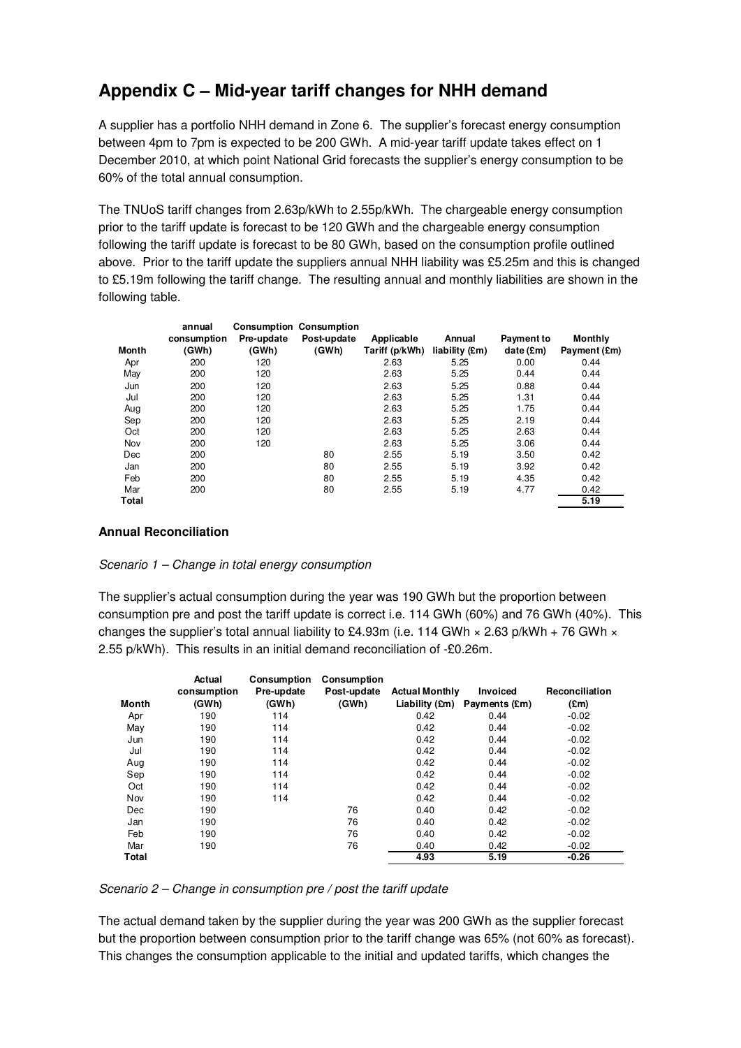# **Appendix C – Mid-year tariff changes for NHH demand**

A supplier has a portfolio NHH demand in Zone 6. The supplier's forecast energy consumption between 4pm to 7pm is expected to be 200 GWh. A mid-year tariff update takes effect on 1 December 2010, at which point National Grid forecasts the supplier's energy consumption to be 60% of the total annual consumption.

The TNUoS tariff changes from 2.63p/kWh to 2.55p/kWh. The chargeable energy consumption prior to the tariff update is forecast to be 120 GWh and the chargeable energy consumption following the tariff update is forecast to be 80 GWh, based on the consumption profile outlined above. Prior to the tariff update the suppliers annual NHH liability was £5.25m and this is changed to £5.19m following the tariff change. The resulting annual and monthly liabilities are shown in the following table.

|       | annual      |            | <b>Consumption Consumption</b> |                |                |            |                |
|-------|-------------|------------|--------------------------------|----------------|----------------|------------|----------------|
|       | consumption | Pre-update | Post-update                    | Applicable     | Annual         | Payment to | <b>Monthly</b> |
| Month | (GWh)       | (GWh)      | (GWh)                          | Tariff (p/kWh) | liability (£m) | date(Em)   | Payment (£m)   |
| Apr   | 200         | 120        |                                | 2.63           | 5.25           | 0.00       | 0.44           |
| May   | 200         | 120        |                                | 2.63           | 5.25           | 0.44       | 0.44           |
| Jun   | 200         | 120        |                                | 2.63           | 5.25           | 0.88       | 0.44           |
| Jul   | 200         | 120        |                                | 2.63           | 5.25           | 1.31       | 0.44           |
| Aug   | 200         | 120        |                                | 2.63           | 5.25           | 1.75       | 0.44           |
| Sep   | 200         | 120        |                                | 2.63           | 5.25           | 2.19       | 0.44           |
| Oct   | 200         | 120        |                                | 2.63           | 5.25           | 2.63       | 0.44           |
| Nov   | 200         | 120        |                                | 2.63           | 5.25           | 3.06       | 0.44           |
| Dec   | 200         |            | 80                             | 2.55           | 5.19           | 3.50       | 0.42           |
| Jan   | 200         |            | 80                             | 2.55           | 5.19           | 3.92       | 0.42           |
| Feb   | 200         |            | 80                             | 2.55           | 5.19           | 4.35       | 0.42           |
| Mar   | 200         |            | 80                             | 2.55           | 5.19           | 4.77       | 0.42           |
| Total |             |            |                                |                |                |            | 5.19           |

#### **Annual Reconciliation**

#### Scenario 1 – Change in total energy consumption

The supplier's actual consumption during the year was 190 GWh but the proportion between consumption pre and post the tariff update is correct i.e. 114 GWh (60%) and 76 GWh (40%). This changes the supplier's total annual liability to £4.93m (i.e. 114 GWh  $\times$  2.63 p/kWh + 76 GWh  $\times$ 2.55 p/kWh). This results in an initial demand reconciliation of -£0.26m.

|       | Actual      | <b>Consumption</b> | Consumption |                       |                                                |                |
|-------|-------------|--------------------|-------------|-----------------------|------------------------------------------------|----------------|
|       | consumption | Pre-update         | Post-update | <b>Actual Monthly</b> | <b>Invoiced</b>                                | Reconciliation |
| Month | (GWh)       | (GWh)              | (GWh)       |                       | Liability $(\text{Em})$ Payments $(\text{Em})$ | $(\text{Em})$  |
| Apr   | 190         | 114                |             | 0.42                  | 0.44                                           | $-0.02$        |
| May   | 190         | 114                |             | 0.42                  | 0.44                                           | $-0.02$        |
| Jun   | 190         | 114                |             | 0.42                  | 0.44                                           | $-0.02$        |
| Jul   | 190         | 114                |             | 0.42                  | 0.44                                           | $-0.02$        |
| Aug   | 190         | 114                |             | 0.42                  | 0.44                                           | $-0.02$        |
| Sep   | 190         | 114                |             | 0.42                  | 0.44                                           | $-0.02$        |
| Oct   | 190         | 114                |             | 0.42                  | 0.44                                           | $-0.02$        |
| Nov   | 190         | 114                |             | 0.42                  | 0.44                                           | $-0.02$        |
| Dec   | 190         |                    | 76          | 0.40                  | 0.42                                           | $-0.02$        |
| Jan   | 190         |                    | 76          | 0.40                  | 0.42                                           | $-0.02$        |
| Feb   | 190         |                    | 76          | 0.40                  | 0.42                                           | $-0.02$        |
| Mar   | 190         |                    | 76          | 0.40                  | 0.42                                           | $-0.02$        |
| Total |             |                    |             | 4.93                  | 5.19                                           | $-0.26$        |

#### Scenario 2 – Change in consumption pre / post the tariff update

The actual demand taken by the supplier during the year was 200 GWh as the supplier forecast but the proportion between consumption prior to the tariff change was 65% (not 60% as forecast). This changes the consumption applicable to the initial and updated tariffs, which changes the